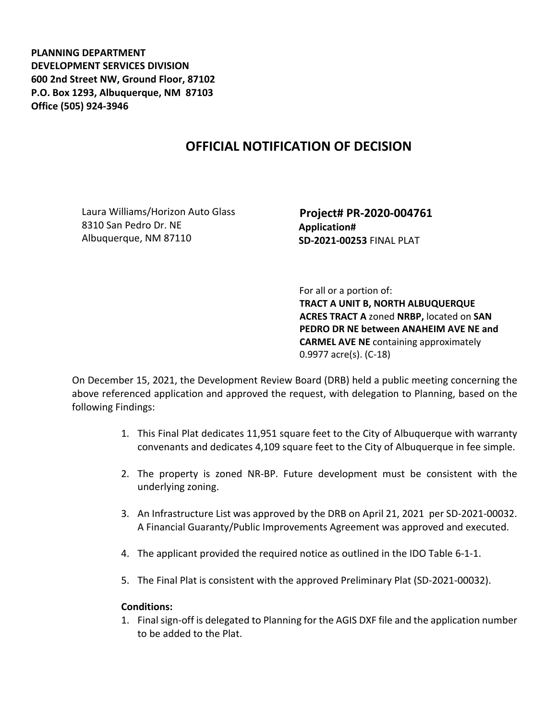**PLANNING DEPARTMENT DEVELOPMENT SERVICES DIVISION 600 2nd Street NW, Ground Floor, 87102 P.O. Box 1293, Albuquerque, NM 87103 Office (505) 924-3946** 

## **OFFICIAL NOTIFICATION OF DECISION**

Laura Williams/Horizon Auto Glass 8310 San Pedro Dr. NE Albuquerque, NM 87110

 **Project# PR-2020-004761 Application# SD-2021-00253** FINAL PLAT

 For all or a portion of: **TRACT A UNIT B, NORTH ALBUQUERQUE ACRES TRACT A** zoned **NRBP,** located on **SAN PEDRO DR NE between ANAHEIM AVE NE and CARMEL AVE NE** containing approximately 0.9977 acre(s). (C-18)

On December 15, 2021, the Development Review Board (DRB) held a public meeting concerning the above referenced application and approved the request, with delegation to Planning, based on the following Findings:

- 1. This Final Plat dedicates 11,951 square feet to the City of Albuquerque with warranty convenants and dedicates 4,109 square feet to the City of Albuquerque in fee simple.
- 2. The property is zoned NR-BP. Future development must be consistent with the underlying zoning.
- 3. An Infrastructure List was approved by the DRB on April 21, 2021 per SD-2021-00032. A Financial Guaranty/Public Improvements Agreement was approved and executed.
- 4. The applicant provided the required notice as outlined in the IDO Table 6-1-1.
- 5. The Final Plat is consistent with the approved Preliminary Plat (SD-2021-00032).

## **Conditions:**

1. Final sign-off is delegated to Planning for the AGIS DXF file and the application number to be added to the Plat.